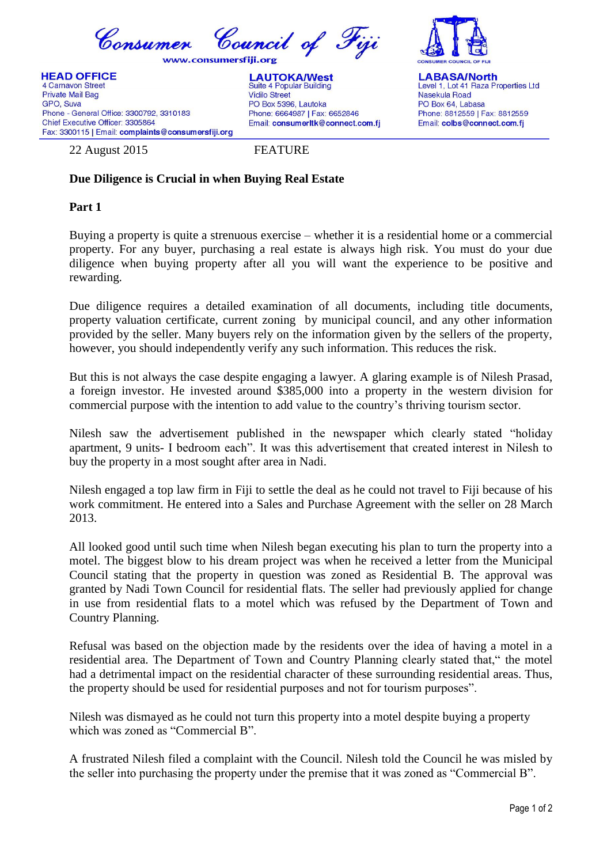

## **Due Diligence is Crucial in when Buying Real Estate**

## **Part 1**

Buying a property is quite a strenuous exercise – whether it is a residential home or a commercial property. For any buyer, purchasing a real estate is always high risk. You must do your due diligence when buying property after all you will want the experience to be positive and rewarding.

Due diligence requires a detailed examination of all documents, including title documents, property valuation certificate, current zoning by municipal council, and any other information provided by the seller. Many buyers rely on the information given by the sellers of the property, however, you should independently verify any such information. This reduces the risk.

But this is not always the case despite engaging a lawyer. A glaring example is of Nilesh Prasad, a foreign investor. He invested around \$385,000 into a property in the western division for commercial purpose with the intention to add value to the country's thriving tourism sector.

Nilesh saw the advertisement published in the newspaper which clearly stated "holiday apartment, 9 units- I bedroom each". It was this advertisement that created interest in Nilesh to buy the property in a most sought after area in Nadi.

Nilesh engaged a top law firm in Fiji to settle the deal as he could not travel to Fiji because of his work commitment. He entered into a Sales and Purchase Agreement with the seller on 28 March 2013.

All looked good until such time when Nilesh began executing his plan to turn the property into a motel. The biggest blow to his dream project was when he received a letter from the Municipal Council stating that the property in question was zoned as Residential B. The approval was granted by Nadi Town Council for residential flats. The seller had previously applied for change in use from residential flats to a motel which was refused by the Department of Town and Country Planning.

Refusal was based on the objection made by the residents over the idea of having a motel in a residential area. The Department of Town and Country Planning clearly stated that," the motel had a detrimental impact on the residential character of these surrounding residential areas. Thus, the property should be used for residential purposes and not for tourism purposes".

Nilesh was dismayed as he could not turn this property into a motel despite buying a property which was zoned as "Commercial B".

A frustrated Nilesh filed a complaint with the Council. Nilesh told the Council he was misled by the seller into purchasing the property under the premise that it was zoned as "Commercial B".